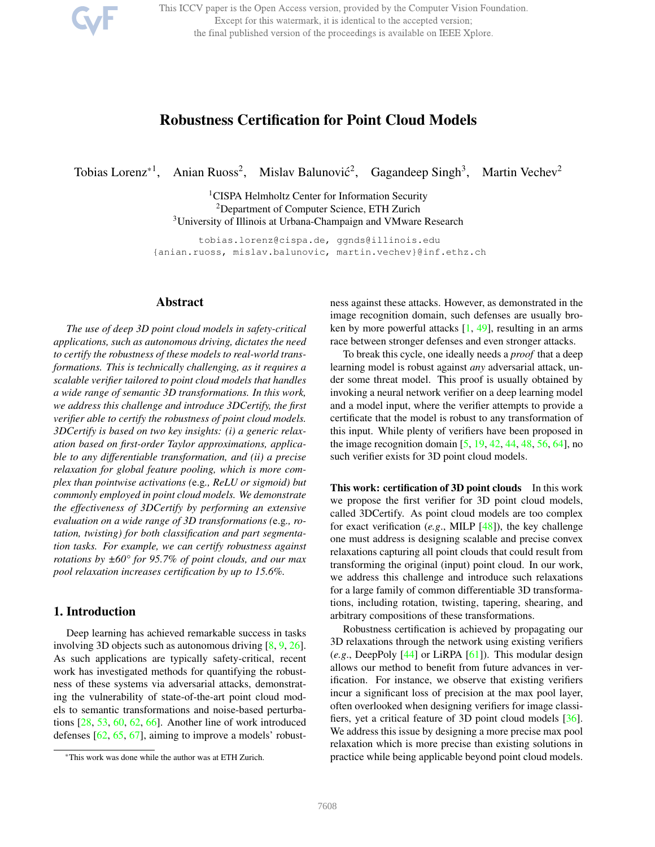This ICCV paper is the Open Access version, provided by the Computer Vision Foundation. Except for this watermark, it is identical to the accepted version; the final published version of the proceedings is available on IEEE Xplore.

# Robustness Certification for Point Cloud Models

Tobias Lorenz<sup>\*1</sup>, Anian Ruoss<sup>2</sup>, Mislav Balunović<sup>2</sup>, Gagandeep Singh<sup>3</sup>, Martin Vechev<sup>2</sup>

<sup>1</sup>CISPA Helmholtz Center for Information Security <sup>2</sup>Department of Computer Science, ETH Zurich <sup>3</sup>University of Illinois at Urbana-Champaign and VMware Research

tobias.lorenz@cispa.de, ggnds@illinois.edu {anian.ruoss, mislav.balunovic, martin.vechev}@inf.ethz.ch

# Abstract

*The use of deep 3D point cloud models in safety-critical applications, such as autonomous driving, dictates the need to certify the robustness of these models to real-world transformations. This is technically challenging, as it requires a scalable verifier tailored to point cloud models that handles a wide range of semantic 3D transformations. In this work, we address this challenge and introduce 3DCertify, the first verifier able to certify the robustness of point cloud models. 3DCertify is based on two key insights: (i) a generic relaxation based on first-order Taylor approximations, applicable to any differentiable transformation, and (ii) a precise relaxation for global feature pooling, which is more complex than pointwise activations (*e.g*., ReLU or sigmoid) but commonly employed in point cloud models. We demonstrate the effectiveness of 3DCertify by performing an extensive evaluation on a wide range of 3D transformations (*e.g*., rotation, twisting) for both classification and part segmentation tasks. For example, we can certify robustness against rotations by ±60° for 95.7% of point clouds, and our max pool relaxation increases certification by up to 15.6%.*

# 1. Introduction

Deep learning has achieved remarkable success in tasks involving 3D objects such as autonomous driving [8, 9, 26]. As such applications are typically safety-critical, recent work has investigated methods for quantifying the robustness of these systems via adversarial attacks, demonstrating the vulnerability of state-of-the-art point cloud models to semantic transformations and noise-based perturbations [28, 53, 60, 62, 66]. Another line of work introduced defenses [62, 65, 67], aiming to improve a models' robustness against these attacks. However, as demonstrated in the image recognition domain, such defenses are usually broken by more powerful attacks [1, 49], resulting in an arms race between stronger defenses and even stronger attacks.

To break this cycle, one ideally needs a *proof* that a deep learning model is robust against *any* adversarial attack, under some threat model. This proof is usually obtained by invoking a neural network verifier on a deep learning model and a model input, where the verifier attempts to provide a certificate that the model is robust to any transformation of this input. While plenty of verifiers have been proposed in the image recognition domain [5, 19, 42, 44, 48, 56, 64], no such verifier exists for 3D point cloud models.

This work: certification of 3D point clouds In this work we propose the first verifier for 3D point cloud models, called 3DCertify. As point cloud models are too complex for exact verification (*e.g*., MILP [48]), the key challenge one must address is designing scalable and precise convex relaxations capturing all point clouds that could result from transforming the original (input) point cloud. In our work, we address this challenge and introduce such relaxations for a large family of common differentiable 3D transformations, including rotation, twisting, tapering, shearing, and arbitrary compositions of these transformations.

Robustness certification is achieved by propagating our 3D relaxations through the network using existing verifiers (*e.g*., DeepPoly [44] or LiRPA [61]). This modular design allows our method to benefit from future advances in verification. For instance, we observe that existing verifiers incur a significant loss of precision at the max pool layer, often overlooked when designing verifiers for image classifiers, yet a critical feature of 3D point cloud models [36]. We address this issue by designing a more precise max pool relaxation which is more precise than existing solutions in practice while being applicable beyond point cloud models.

<sup>\*</sup>This work was done while the author was at ETH Zurich.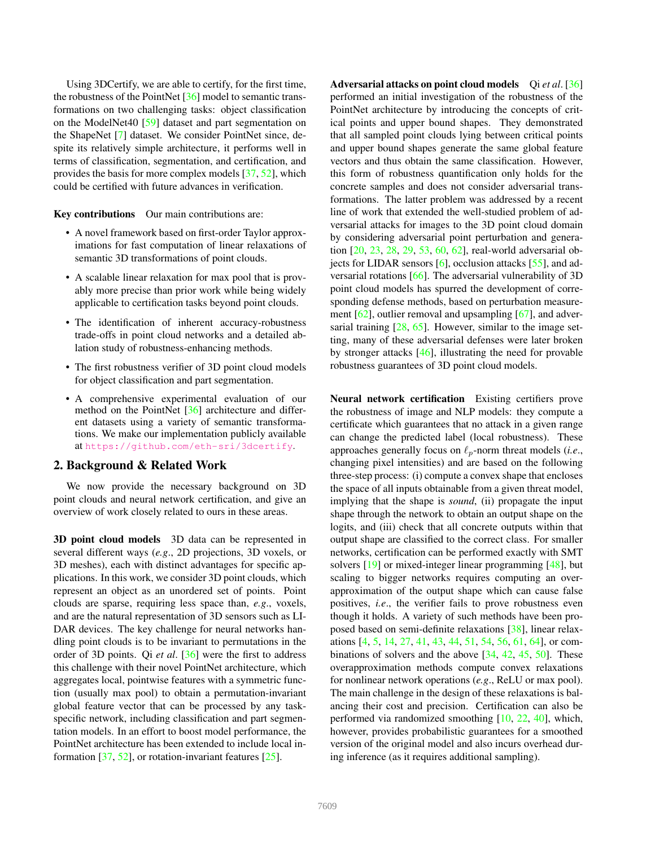Using 3DCertify, we are able to certify, for the first time, the robustness of the PointNet [36] model to semantic transformations on two challenging tasks: object classification on the ModelNet40 [59] dataset and part segmentation on the ShapeNet [7] dataset. We consider PointNet since, despite its relatively simple architecture, it performs well in terms of classification, segmentation, and certification, and provides the basis for more complex models [37, 52], which could be certified with future advances in verification.

Key contributions Our main contributions are:

- A novel framework based on first-order Taylor approximations for fast computation of linear relaxations of semantic 3D transformations of point clouds.
- A scalable linear relaxation for max pool that is provably more precise than prior work while being widely applicable to certification tasks beyond point clouds.
- The identification of inherent accuracy-robustness trade-offs in point cloud networks and a detailed ablation study of robustness-enhancing methods.
- The first robustness verifier of 3D point cloud models for object classification and part segmentation.
- A comprehensive experimental evaluation of our method on the PointNet [36] architecture and different datasets using a variety of semantic transformations. We make our implementation publicly available at https://github.com/eth-sri/3dcertify.

# 2. Background & Related Work

We now provide the necessary background on 3D point clouds and neural network certification, and give an overview of work closely related to ours in these areas.

3D point cloud models 3D data can be represented in several different ways (*e.g*., 2D projections, 3D voxels, or 3D meshes), each with distinct advantages for specific applications. In this work, we consider 3D point clouds, which represent an object as an unordered set of points. Point clouds are sparse, requiring less space than, *e.g*., voxels, and are the natural representation of 3D sensors such as LI-DAR devices. The key challenge for neural networks handling point clouds is to be invariant to permutations in the order of 3D points. Qi *et al*. [36] were the first to address this challenge with their novel PointNet architecture, which aggregates local, pointwise features with a symmetric function (usually max pool) to obtain a permutation-invariant global feature vector that can be processed by any taskspecific network, including classification and part segmentation models. In an effort to boost model performance, the PointNet architecture has been extended to include local information  $[37, 52]$ , or rotation-invariant features  $[25]$ .

Adversarial attacks on point cloud models Qi *et al*. [36] performed an initial investigation of the robustness of the PointNet architecture by introducing the concepts of critical points and upper bound shapes. They demonstrated that all sampled point clouds lying between critical points and upper bound shapes generate the same global feature vectors and thus obtain the same classification. However, this form of robustness quantification only holds for the concrete samples and does not consider adversarial transformations. The latter problem was addressed by a recent line of work that extended the well-studied problem of adversarial attacks for images to the 3D point cloud domain by considering adversarial point perturbation and generation [20, 23, 28, 29, 53, 60, 62], real-world adversarial objects for LIDAR sensors  $[6]$ , occlusion attacks  $[55]$ , and adversarial rotations [66]. The adversarial vulnerability of 3D point cloud models has spurred the development of corresponding defense methods, based on perturbation measurement  $[62]$ , outlier removal and upsampling  $[67]$ , and adversarial training  $[28, 65]$ . However, similar to the image setting, many of these adversarial defenses were later broken by stronger attacks [46], illustrating the need for provable robustness guarantees of 3D point cloud models.

Neural network certification Existing certifiers prove the robustness of image and NLP models: they compute a certificate which guarantees that no attack in a given range can change the predicted label (local robustness). These approaches generally focus on  $\ell_p$ -norm threat models (*i.e.*, changing pixel intensities) and are based on the following three-step process: (i) compute a convex shape that encloses the space of all inputs obtainable from a given threat model, implying that the shape is *sound*, (ii) propagate the input shape through the network to obtain an output shape on the logits, and (iii) check that all concrete outputs within that output shape are classified to the correct class. For smaller networks, certification can be performed exactly with SMT solvers [19] or mixed-integer linear programming [48], but scaling to bigger networks requires computing an overapproximation of the output shape which can cause false positives, *i.e*., the verifier fails to prove robustness even though it holds. A variety of such methods have been proposed based on semi-definite relaxations [38], linear relaxations [4, 5, 14, 27, 41, 43, 44, 51, 54, 56, 61, 64], or combinations of solvers and the above [34, 42, 45, 50]. These overapproximation methods compute convex relaxations for nonlinear network operations (*e.g*., ReLU or max pool). The main challenge in the design of these relaxations is balancing their cost and precision. Certification can also be performed via randomized smoothing [10, 22, 40], which, however, provides probabilistic guarantees for a smoothed version of the original model and also incurs overhead during inference (as it requires additional sampling).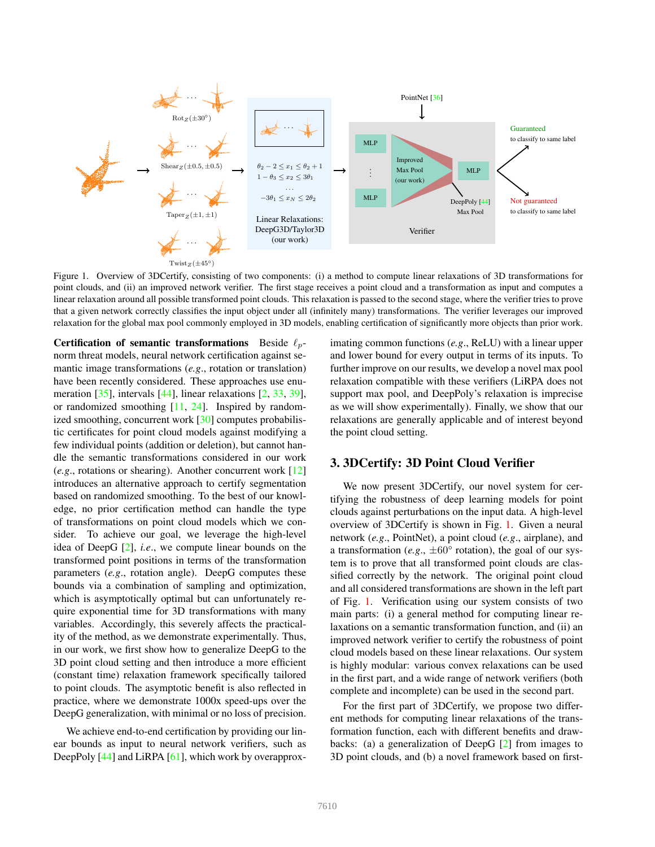

Figure 1. Overview of 3DCertify, consisting of two components: (i) a method to compute linear relaxations of 3D transformations for point clouds, and (ii) an improved network verifier. The first stage receives a point cloud and a transformation as input and computes a linear relaxation around all possible transformed point clouds. This relaxation is passed to the second stage, where the verifier tries to prove that a given network correctly classifies the input object under all (infinitely many) transformations. The verifier leverages our improved relaxation for the global max pool commonly employed in 3D models, enabling certification of significantly more objects than prior work.

**Certification of semantic transformations** Beside  $\ell_p$ norm threat models, neural network certification against semantic image transformations (*e.g*., rotation or translation) have been recently considered. These approaches use enumeration [35], intervals [44], linear relaxations [2, 33, 39], or randomized smoothing [11, 24]. Inspired by randomized smoothing, concurrent work [30] computes probabilistic certificates for point cloud models against modifying a few individual points (addition or deletion), but cannot handle the semantic transformations considered in our work (*e.g*., rotations or shearing). Another concurrent work [12] introduces an alternative approach to certify segmentation based on randomized smoothing. To the best of our knowledge, no prior certification method can handle the type of transformations on point cloud models which we consider. To achieve our goal, we leverage the high-level idea of DeepG [2], *i.e*., we compute linear bounds on the transformed point positions in terms of the transformation parameters (*e.g*., rotation angle). DeepG computes these bounds via a combination of sampling and optimization, which is asymptotically optimal but can unfortunately require exponential time for 3D transformations with many variables. Accordingly, this severely affects the practicality of the method, as we demonstrate experimentally. Thus, in our work, we first show how to generalize DeepG to the 3D point cloud setting and then introduce a more efficient (constant time) relaxation framework specifically tailored to point clouds. The asymptotic benefit is also reflected in practice, where we demonstrate 1000x speed-ups over the DeepG generalization, with minimal or no loss of precision.

We achieve end-to-end certification by providing our linear bounds as input to neural network verifiers, such as DeepPoly [44] and LiRPA [61], which work by overapproximating common functions (*e.g*., ReLU) with a linear upper and lower bound for every output in terms of its inputs. To further improve on our results, we develop a novel max pool relaxation compatible with these verifiers (LiRPA does not support max pool, and DeepPoly's relaxation is imprecise as we will show experimentally). Finally, we show that our relaxations are generally applicable and of interest beyond the point cloud setting.

## 3. 3DCertify: 3D Point Cloud Verifier

We now present 3DCertify, our novel system for certifying the robustness of deep learning models for point clouds against perturbations on the input data. A high-level overview of 3DCertify is shown in Fig. 1. Given a neural network (*e.g*., PointNet), a point cloud (*e.g*., airplane), and a transformation (*e.g.*,  $\pm 60^{\circ}$  rotation), the goal of our system is to prove that all transformed point clouds are classified correctly by the network. The original point cloud and all considered transformations are shown in the left part of Fig. 1. Verification using our system consists of two main parts: (i) a general method for computing linear relaxations on a semantic transformation function, and (ii) an improved network verifier to certify the robustness of point cloud models based on these linear relaxations. Our system is highly modular: various convex relaxations can be used in the first part, and a wide range of network verifiers (both complete and incomplete) can be used in the second part.

For the first part of 3DCertify, we propose two different methods for computing linear relaxations of the transformation function, each with different benefits and drawbacks: (a) a generalization of DeepG [2] from images to 3D point clouds, and (b) a novel framework based on first-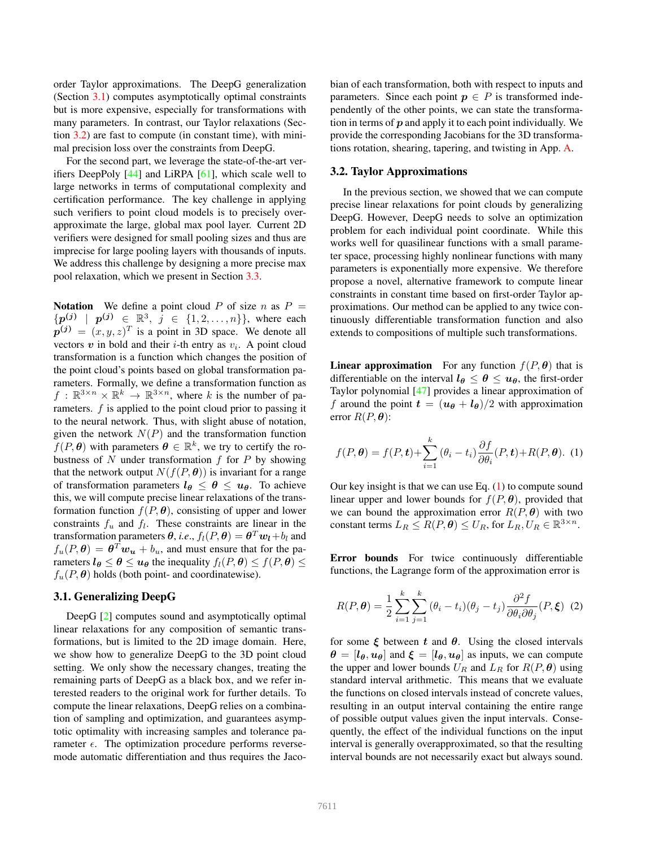order Taylor approximations. The DeepG generalization (Section 3.1) computes asymptotically optimal constraints but is more expensive, especially for transformations with many parameters. In contrast, our Taylor relaxations (Section 3.2) are fast to compute (in constant time), with minimal precision loss over the constraints from DeepG.

For the second part, we leverage the state-of-the-art verifiers DeepPoly [44] and LiRPA [61], which scale well to large networks in terms of computational complexity and certification performance. The key challenge in applying such verifiers to point cloud models is to precisely overapproximate the large, global max pool layer. Current 2D verifiers were designed for small pooling sizes and thus are imprecise for large pooling layers with thousands of inputs. We address this challenge by designing a more precise max pool relaxation, which we present in Section 3.3.

**Notation** We define a point cloud *P* of size *n* as  $P =$  $\{p^{(j)} \mid p^{(j)} \in \mathbb{R}^3, j \in \{1, 2, ..., n\}\}$ , where each  $p^{(j)} = (x, y, z)^T$  is a point in 3D space. We denote all vectors  $v$  in bold and their *i*-th entry as  $v_i$ . A point cloud transformation is a function which changes the position of the point cloud's points based on global transformation parameters. Formally, we define a transformation function as  $f: \mathbb{R}^{3 \times n} \times \mathbb{R}^k \to \mathbb{R}^{3 \times n}$ , where *k* is the number of parameters. *f* is applied to the point cloud prior to passing it to the neural network. Thus, with slight abuse of notation, given the network  $N(P)$  and the transformation function  $f(P, \theta)$  with parameters  $\theta \in \mathbb{R}^k$ , we try to certify the robustness of *N* under transformation *f* for *P* by showing that the network output  $N(f(P, \theta))$  is invariant for a range of transformation parameters  $l_{\theta} \leq \theta \leq u_{\theta}$ . To achieve this, we will compute precise linear relaxations of the transformation function  $f(P, \theta)$ , consisting of upper and lower constraints  $f_u$  and  $f_l$ . These constraints are linear in the transformation parameters  $\theta$ , *i.e.*,  $f_l(P, \theta) = \theta^T w_l + b_l$  and  $f_u(P, \theta) = \theta^T w_u + b_u$ , and must ensure that for the parameters  $l_{\theta} \le \theta \le u_{\theta}$  the inequality  $f_l(P, \theta) \le f(P, \theta) \le$  $f_u(P, \theta)$  holds (both point- and coordinatewise).

#### 3.1. Generalizing DeepG

DeepG [2] computes sound and asymptotically optimal linear relaxations for any composition of semantic transformations, but is limited to the 2D image domain. Here, we show how to generalize DeepG to the 3D point cloud setting. We only show the necessary changes, treating the remaining parts of DeepG as a black box, and we refer interested readers to the original work for further details. To compute the linear relaxations, DeepG relies on a combination of sampling and optimization, and guarantees asymptotic optimality with increasing samples and tolerance parameter  $\epsilon$ . The optimization procedure performs reversemode automatic differentiation and thus requires the Jacobian of each transformation, both with respect to inputs and parameters. Since each point  $p \in P$  is transformed independently of the other points, we can state the transformation in terms of *p* and apply it to each point individually. We provide the corresponding Jacobians for the 3D transformations rotation, shearing, tapering, and twisting in App. A.

#### 3.2. Taylor Approximations

In the previous section, we showed that we can compute precise linear relaxations for point clouds by generalizing DeepG. However, DeepG needs to solve an optimization problem for each individual point coordinate. While this works well for quasilinear functions with a small parameter space, processing highly nonlinear functions with many parameters is exponentially more expensive. We therefore propose a novel, alternative framework to compute linear constraints in constant time based on first-order Taylor approximations. Our method can be applied to any twice continuously differentiable transformation function and also extends to compositions of multiple such transformations.

**Linear approximation** For any function  $f(P, \theta)$  that is differentiable on the interval  $l_{\theta} \leq \theta \leq u_{\theta}$ , the first-order Taylor polynomial [47] provides a linear approximation of *f* around the point  $\mathbf{t} = (\mathbf{u}_{\theta} + \mathbf{l}_{\theta})/2$  with approximation error  $R(P, \theta)$ :

$$
f(P, \theta) = f(P, t) + \sum_{i=1}^{k} (\theta_i - t_i) \frac{\partial f}{\partial \theta_i}(P, t) + R(P, \theta). \tag{1}
$$

Our key insight is that we can use Eq.  $(1)$  to compute sound linear upper and lower bounds for  $f(P, \theta)$ , provided that we can bound the approximation error  $R(P, \theta)$  with two constant terms  $L_R \leq R(P, \theta) \leq U_R$ , for  $L_R, U_R \in \mathbb{R}^{3 \times n}$ .

Error bounds For twice continuously differentiable functions, the Lagrange form of the approximation error is

$$
R(P, \theta) = \frac{1}{2} \sum_{i=1}^{k} \sum_{j=1}^{k} (\theta_i - t_i)(\theta_j - t_j) \frac{\partial^2 f}{\partial \theta_i \partial \theta_j} (P, \xi) \tag{2}
$$

for some  $\xi$  between  $t$  and  $\theta$ . Using the closed intervals  $\theta = [l_{\theta}, u_{\theta}]$  and  $\xi = [l_{\theta}, u_{\theta}]$  as inputs, we can compute the upper and lower bounds  $U_R$  and  $L_R$  for  $R(P, \theta)$  using standard interval arithmetic. This means that we evaluate the functions on closed intervals instead of concrete values, resulting in an output interval containing the entire range of possible output values given the input intervals. Consequently, the effect of the individual functions on the input interval is generally overapproximated, so that the resulting interval bounds are not necessarily exact but always sound.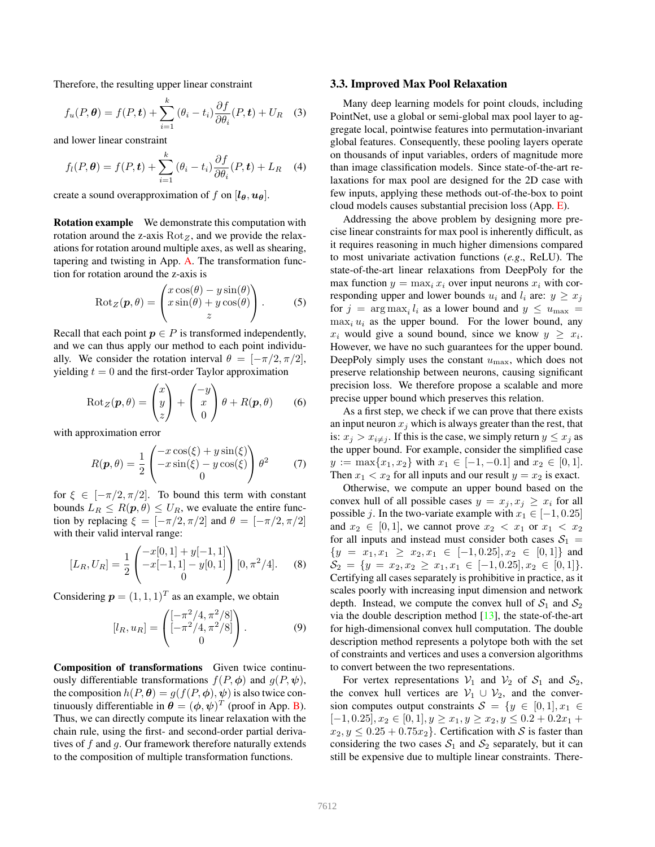Therefore, the resulting upper linear constraint

$$
f_u(P, \theta) = f(P, t) + \sum_{i=1}^k (\theta_i - t_i) \frac{\partial f}{\partial \theta_i}(P, t) + U_R \quad (3)
$$

and lower linear constraint

$$
f_l(P, \theta) = f(P, t) + \sum_{i=1}^k (\theta_i - t_i) \frac{\partial f}{\partial \theta_i}(P, t) + L_R \quad (4)
$$

create a sound overapproximation of *f* on  $[\iota_{\theta}, \iota_{\theta}]$ .

Rotation example We demonstrate this computation with rotation around the z-axis  $Rot<sub>Z</sub>$ , and we provide the relaxations for rotation around multiple axes, as well as shearing, tapering and twisting in App. A. The transformation function for rotation around the z-axis is

$$
Rot_{Z}(\boldsymbol{p}, \theta) = \begin{pmatrix} x \cos(\theta) - y \sin(\theta) \\ x \sin(\theta) + y \cos(\theta) \\ z \end{pmatrix}.
$$
 (5)

Recall that each point  $p \in P$  is transformed independently, and we can thus apply our method to each point individually. We consider the rotation interval  $\theta = [-\pi/2, \pi/2]$ , yielding  $t = 0$  and the first-order Taylor approximation

$$
Rot_{Z}(\boldsymbol{p}, \theta) = \begin{pmatrix} x \\ y \\ z \end{pmatrix} + \begin{pmatrix} -y \\ x \\ 0 \end{pmatrix} \theta + R(\boldsymbol{p}, \theta) \qquad (6)
$$

with approximation error

$$
R(\mathbf{p}, \theta) = \frac{1}{2} \begin{pmatrix} -x\cos(\xi) + y\sin(\xi) \\ -x\sin(\xi) - y\cos(\xi) \\ 0 \end{pmatrix} \theta^2 \tag{7}
$$

for  $\xi \in [-\pi/2, \pi/2]$ . To bound this term with constant bounds  $L_R \leq R(p,\theta) \leq U_R$ , we evaluate the entire function by replacing  $\xi = [-\pi/2, \pi/2]$  and  $\theta = [-\pi/2, \pi/2]$ with their valid interval range:

$$
[L_R, U_R] = \frac{1}{2} \begin{pmatrix} -x[0,1] + y[-1,1] \\ -x[-1,1] - y[0,1] \\ 0 \end{pmatrix} [0, \pi^2/4].
$$
 (8)

Considering  $p = (1, 1, 1)^T$  as an example, we obtain

$$
[l_R, u_R] = \begin{pmatrix} [-\pi^2/4, \pi^2/8] \\ [-\pi^2/4, \pi^2/8] \\ 0 \end{pmatrix}.
$$
 (9)

Composition of transformations Given twice continuously differentiable transformations  $f(P, \phi)$  and  $g(P, \psi)$ , the composition  $h(P, \theta) = g(f(P, \phi), \psi)$  is also twice continuously differentiable in  $\boldsymbol{\theta} = (\phi, \psi)^T$  (proof in App. B). Thus, we can directly compute its linear relaxation with the chain rule, using the first- and second-order partial derivatives of *f* and *g*. Our framework therefore naturally extends to the composition of multiple transformation functions.

#### 3.3. Improved Max Pool Relaxation

Many deep learning models for point clouds, including PointNet, use a global or semi-global max pool layer to aggregate local, pointwise features into permutation-invariant global features. Consequently, these pooling layers operate on thousands of input variables, orders of magnitude more than image classification models. Since state-of-the-art relaxations for max pool are designed for the 2D case with few inputs, applying these methods out-of-the-box to point cloud models causes substantial precision loss (App. E).

Addressing the above problem by designing more precise linear constraints for max pool is inherently difficult, as it requires reasoning in much higher dimensions compared to most univariate activation functions (*e.g*., ReLU). The state-of-the-art linear relaxations from DeepPoly for the max function  $y = \max_i x_i$  over input neurons  $x_i$  with corresponding upper and lower bounds  $u_i$  and  $l_i$  are:  $y \geq x_j$ for  $j = \arg \max_i l_i$  as a lower bound and  $y \leq u_{\max}$  $\max_i u_i$  as the upper bound. For the lower bound, any  $x_i$  would give a sound bound, since we know  $y \geq x_i$ . However, we have no such guarantees for the upper bound. DeepPoly simply uses the constant *u*max, which does not preserve relationship between neurons, causing significant precision loss. We therefore propose a scalable and more precise upper bound which preserves this relation.

As a first step, we check if we can prove that there exists an input neuron  $x_j$  which is always greater than the rest, that is:  $x_j > x_{i \neq j}$ . If this is the case, we simply return  $y \leq x_j$  as the upper bound. For example, consider the simplified case  $y := \max\{x_1, x_2\}$  with  $x_1 \in [-1, -0.1]$  and  $x_2 \in [0, 1]$ . Then  $x_1 < x_2$  for all inputs and our result  $y = x_2$  is exact.

Otherwise, we compute an upper bound based on the convex hull of all possible cases  $y = x_j, x_j \geq x_i$  for all possible *j*. In the two-variate example with  $x_1 \in [-1, 0.25]$ and  $x_2 \in [0, 1]$ , we cannot prove  $x_2 < x_1$  or  $x_1 < x_2$ for all inputs and instead must consider both cases  $S_1$  =  $\{y = x_1, x_1 \ge x_2, x_1 \in [-1, 0.25], x_2 \in [0, 1]\}$  and  $\mathcal{S}_2 = \{y = x_2, x_2 \ge x_1, x_1 \in [-1, 0.25], x_2 \in [0, 1]\}.$ Certifying all cases separately is prohibitive in practice, as it scales poorly with increasing input dimension and network depth. Instead, we compute the convex hull of  $S_1$  and  $S_2$ via the double description method  $[13]$ , the state-of-the-art for high-dimensional convex hull computation. The double description method represents a polytope both with the set of constraints and vertices and uses a conversion algorithms to convert between the two representations.

For vertex representations  $V_1$  and  $V_2$  of  $S_1$  and  $S_2$ , the convex hull vertices are  $V_1 \cup V_2$ , and the conversion computes output constraints  $S = \{y \in [0,1], x_1 \in$  $[-1, 0.25], x_2 \in [0, 1], y \geq x_1, y \geq x_2, y \leq 0.2 + 0.2x_1 +$  $x_2, y \leq 0.25 + 0.75x_2$ . Certification with *S* is faster than considering the two cases  $S_1$  and  $S_2$  separately, but it can still be expensive due to multiple linear constraints. There-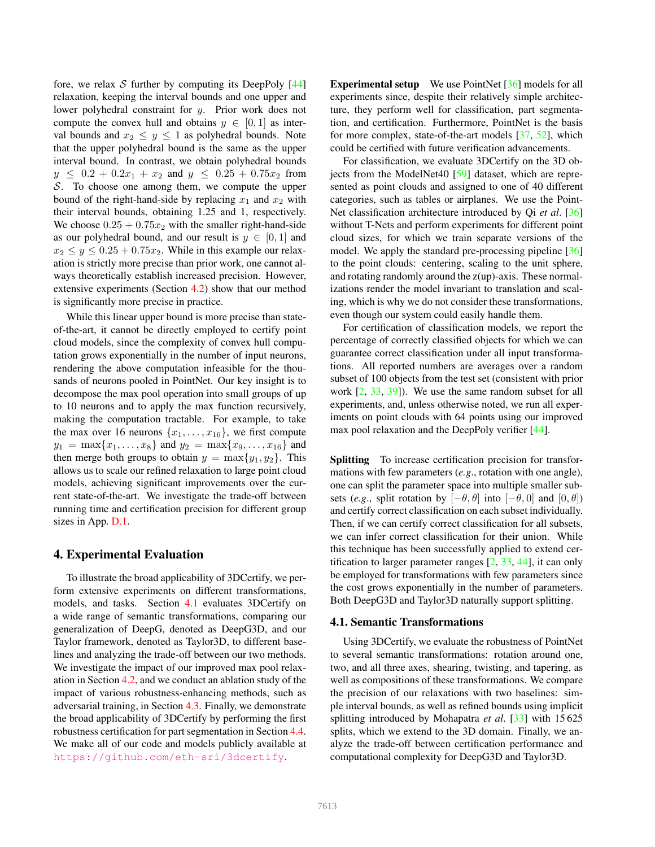fore, we relax  $S$  further by computing its DeepPoly  $[44]$ relaxation, keeping the interval bounds and one upper and lower polyhedral constraint for *y*. Prior work does not compute the convex hull and obtains  $y \in [0, 1]$  as interval bounds and  $x_2 \leq y \leq 1$  as polyhedral bounds. Note that the upper polyhedral bound is the same as the upper interval bound. In contrast, we obtain polyhedral bounds  $y \leq 0.2 + 0.2x_1 + x_2$  and  $y \leq 0.25 + 0.75x_2$  from *S*. To choose one among them, we compute the upper bound of the right-hand-side by replacing  $x_1$  and  $x_2$  with their interval bounds, obtaining 1.25 and 1, respectively. We choose  $0.25 + 0.75x_2$  with the smaller right-hand-side as our polyhedral bound, and our result is  $y \in [0, 1]$  and  $x_2 \leq y \leq 0.25 + 0.75x_2$ . While in this example our relaxation is strictly more precise than prior work, one cannot always theoretically establish increased precision. However, extensive experiments (Section 4.2) show that our method is significantly more precise in practice.

While this linear upper bound is more precise than stateof-the-art, it cannot be directly employed to certify point cloud models, since the complexity of convex hull computation grows exponentially in the number of input neurons, rendering the above computation infeasible for the thousands of neurons pooled in PointNet. Our key insight is to decompose the max pool operation into small groups of up to 10 neurons and to apply the max function recursively, making the computation tractable. For example, to take the max over 16 neurons  $\{x_1, \ldots, x_{16}\}$ , we first compute  $y_1 = \max\{x_1, \ldots, x_8\}$  and  $y_2 = \max\{x_9, \ldots, x_{16}\}$  and then merge both groups to obtain  $y = \max\{y_1, y_2\}$ . This allows us to scale our refined relaxation to large point cloud models, achieving significant improvements over the current state-of-the-art. We investigate the trade-off between running time and certification precision for different group sizes in App. D.1.

# 4. Experimental Evaluation

To illustrate the broad applicability of 3DCertify, we perform extensive experiments on different transformations, models, and tasks. Section 4.1 evaluates 3DCertify on a wide range of semantic transformations, comparing our generalization of DeepG, denoted as DeepG3D, and our Taylor framework, denoted as Taylor3D, to different baselines and analyzing the trade-off between our two methods. We investigate the impact of our improved max pool relaxation in Section 4.2, and we conduct an ablation study of the impact of various robustness-enhancing methods, such as adversarial training, in Section 4.3. Finally, we demonstrate the broad applicability of 3DCertify by performing the first robustness certification for part segmentation in Section 4.4. We make all of our code and models publicly available at https://github.com/eth-sri/3dcertify.

Experimental setup We use PointNet [36] models for all experiments since, despite their relatively simple architecture, they perform well for classification, part segmentation, and certification. Furthermore, PointNet is the basis for more complex, state-of-the-art models [37, 52], which could be certified with future verification advancements.

For classification, we evaluate 3DCertify on the 3D objects from the ModelNet40 [59] dataset, which are represented as point clouds and assigned to one of 40 different categories, such as tables or airplanes. We use the Point-Net classification architecture introduced by Qi *et al*. [36] without T-Nets and perform experiments for different point cloud sizes, for which we train separate versions of the model. We apply the standard pre-processing pipeline [36] to the point clouds: centering, scaling to the unit sphere, and rotating randomly around the  $z(up)$ -axis. These normalizations render the model invariant to translation and scaling, which is why we do not consider these transformations, even though our system could easily handle them.

For certification of classification models, we report the percentage of correctly classified objects for which we can guarantee correct classification under all input transformations. All reported numbers are averages over a random subset of 100 objects from the test set (consistent with prior work [2, 33, 39]). We use the same random subset for all experiments, and, unless otherwise noted, we run all experiments on point clouds with 64 points using our improved max pool relaxation and the DeepPoly verifier [44].

Splitting To increase certification precision for transformations with few parameters (*e.g*., rotation with one angle), one can split the parameter space into multiple smaller subsets (*e.g.*, split rotation by  $[-\theta, \theta]$  into  $[-\theta, 0]$  and  $[0, \theta]$ ) and certify correct classification on each subset individually. Then, if we can certify correct classification for all subsets, we can infer correct classification for their union. While this technique has been successfully applied to extend certification to larger parameter ranges [2, 33, 44], it can only be employed for transformations with few parameters since the cost grows exponentially in the number of parameters. Both DeepG3D and Taylor3D naturally support splitting.

#### 4.1. Semantic Transformations

Using 3DCertify, we evaluate the robustness of PointNet to several semantic transformations: rotation around one, two, and all three axes, shearing, twisting, and tapering, as well as compositions of these transformations. We compare the precision of our relaxations with two baselines: simple interval bounds, as well as refined bounds using implicit splitting introduced by Mohapatra *et al*. [33] with 15 625 splits, which we extend to the 3D domain. Finally, we analyze the trade-off between certification performance and computational complexity for DeepG3D and Taylor3D.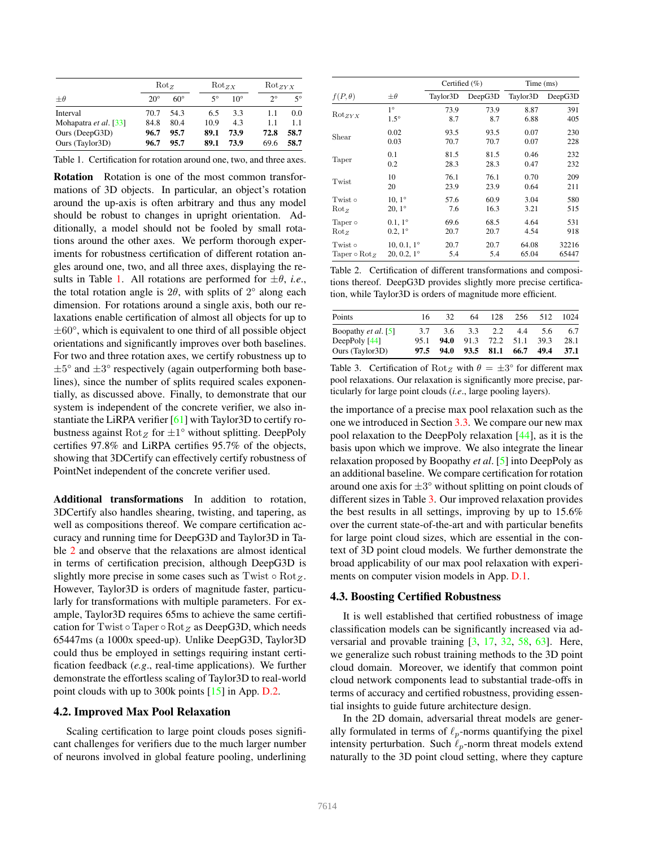|                       | $Rot_{z}$    |              | $Rot_{ZX}$ |              |             | $Rot_{ZYX}$ |  |
|-----------------------|--------------|--------------|------------|--------------|-------------|-------------|--|
| $+\theta$             | $20^{\circ}$ | $60^{\circ}$ | 50         | $10^{\circ}$ | $2^{\circ}$ | 5°          |  |
| Interval              | 70.7         | 54.3         | 6.5        | 33           | 1.1         | 0.0         |  |
| Mohapatra et al. [33] | 84.8         | 80.4         | 10.9       | 4.3          | 1.1         | 1.1         |  |
| Ours (DeepG3D)        | 96.7         | 95.7         | 89.1       | 73.9         | 72.8        | 58.7        |  |
| Ours (Taylor3D)       | 96.7         | 95.7         | 89.1       | 73.9         | 69.6        | 58.7        |  |

Rotation Rotation is one of the most common transformations of 3D objects. In particular, an object's rotation around the up-axis is often arbitrary and thus any model should be robust to changes in upright orientation. Additionally, a model should not be fooled by small rotations around the other axes. We perform thorough experiments for robustness certification of different rotation angles around one, two, and all three axes, displaying the results in Table 1. All rotations are performed for  $\pm \theta$ , *i.e.*, the total rotation angle is  $2\theta$ , with splits of  $2^{\circ}$  along each dimension. For rotations around a single axis, both our relaxations enable certification of almost all objects for up to *±*60°, which is equivalent to one third of all possible object orientations and significantly improves over both baselines. For two and three rotation axes, we certify robustness up to *±*5° and *±*3° respectively (again outperforming both baselines), since the number of splits required scales exponentially, as discussed above. Finally, to demonstrate that our system is independent of the concrete verifier, we also instantiate the LiRPA verifier [61] with Taylor3D to certify robustness against  $Rot_Z$  for  $±1°$  without splitting. DeepPoly certifies 97.8% and LiRPA certifies 95.7% of the objects, showing that 3DCertify can effectively certify robustness of PointNet independent of the concrete verifier used.

Additional transformations In addition to rotation, 3DCertify also handles shearing, twisting, and tapering, as well as compositions thereof. We compare certification accuracy and running time for DeepG3D and Taylor3D in Table 2 and observe that the relaxations are almost identical in terms of certification precision, although DeepG3D is slightly more precise in some cases such as  $Twist \circ Rot_{Z}$ . However, Taylor3D is orders of magnitude faster, particularly for transformations with multiple parameters. For example, Taylor3D requires 65ms to achieve the same certification for Twist  $\circ$  Taper  $\circ$  Rot<sub>Z</sub> as DeepG3D, which needs 65447ms (a 1000x speed-up). Unlike DeepG3D, Taylor3D could thus be employed in settings requiring instant certification feedback (*e.g*., real-time applications). We further demonstrate the effortless scaling of Taylor3D to real-world point clouds with up to 300k points [15] in App. D.2.

### 4.2. Improved Max Pool Relaxation

Scaling certification to large point clouds poses significant challenges for verifiers due to the much larger number of neurons involved in global feature pooling, underlining

|                                   |                      | Certified $(\% )$ |         | Time (ms) |         |  |
|-----------------------------------|----------------------|-------------------|---------|-----------|---------|--|
| $f(P, \theta)$                    | $\pm\theta$          | Taylor3D          | DeepG3D | Taylor3D  | DeepG3D |  |
| $Rot_{ZYX}$                       | $1^{\circ}$          | 73.9              | 73.9    | 8.87      | 391     |  |
|                                   | $1.5^\circ$          | 8.7               | 8.7     | 6.88      | 405     |  |
| Shear                             | 0.02                 | 93.5              | 93.5    | 0.07      | 230     |  |
|                                   | 0.03                 | 70.7              | 70.7    | 0.07      | 228     |  |
| Taper                             | 0.1                  | 81.5              | 81.5    | 0.46      | 232     |  |
|                                   | 0.2                  | 28.3              | 28.3    | 0.47      | 232     |  |
| Twist                             | 10                   | 76.1              | 76.1    | 0.70      | 209     |  |
|                                   | 20                   | 23.9              | 23.9    | 0.64      | 211     |  |
| Twist o                           | $10, 1^{\circ}$      | 57.6              | 60.9    | 3.04      | 580     |  |
| $Rot_{Z}$                         | $20, 1^{\circ}$      | 7.6               | 16.3    | 3.21      | 515     |  |
| Taper $\circ$                     | $0.1, 1^{\circ}$     | 69.6              | 68.5    | 4.64      | 531     |  |
| $Rot_{z}$                         | $0.2, 1^{\circ}$     | 20.7              | 20.7    | 4.54      | 918     |  |
| $Twist \circ$                     | $10, 0.1, 1^{\circ}$ | 20.7              | 20.7    | 64.08     | 32216   |  |
| $\text{Taper} \circ \text{Rot}_Z$ | $20, 0.2, 1^{\circ}$ | 5.4               | 5.4     | 65.04     | 65447   |  |

Table 2. Certification of different transformations and compositions thereof. DeepG3D provides slightly more precise certification, while Taylor3D is orders of magnitude more efficient.

| Points                     | 16   | 32   | 64   | 128            | 256  | 512  | 1024 |
|----------------------------|------|------|------|----------------|------|------|------|
| Boopathy <i>et al.</i> [5] | 3.7  | 3.6  | 3.3  | 2.2            | 4.4  | 5.6  | 6.7  |
| DeepPoly $[44]$            | 95.1 | 94.0 |      | 91.3 72.2 51.1 |      | 393  | 28.1 |
| Ours (Taylor3D)            | 97.5 | 94.0 | 93.5 | 81.1           | 66.7 | 49.4 | 37.1 |

Table 3. Certification of Rot<sub>Z</sub> with  $\theta = \pm 3^{\circ}$  for different max pool relaxations. Our relaxation is significantly more precise, particularly for large point clouds (*i.e*., large pooling layers).

the importance of a precise max pool relaxation such as the one we introduced in Section 3.3. We compare our new max pool relaxation to the DeepPoly relaxation [44], as it is the basis upon which we improve. We also integrate the linear relaxation proposed by Boopathy *et al*. [5] into DeepPoly as an additional baseline. We compare certification for rotation around one axis for *±*3° without splitting on point clouds of different sizes in Table 3. Our improved relaxation provides the best results in all settings, improving by up to 15.6% over the current state-of-the-art and with particular benefits for large point cloud sizes, which are essential in the context of 3D point cloud models. We further demonstrate the broad applicability of our max pool relaxation with experiments on computer vision models in App. D.1.

#### 4.3. Boosting Certified Robustness

It is well established that certified robustness of image classification models can be significantly increased via adversarial and provable training [3, 17, 32, 58, 63]. Here, we generalize such robust training methods to the 3D point cloud domain. Moreover, we identify that common point cloud network components lead to substantial trade-offs in terms of accuracy and certified robustness, providing essential insights to guide future architecture design.

In the 2D domain, adversarial threat models are generally formulated in terms of  $\ell_p$ -norms quantifying the pixel intensity perturbation. Such  $\ell_p$ -norm threat models extend naturally to the 3D point cloud setting, where they capture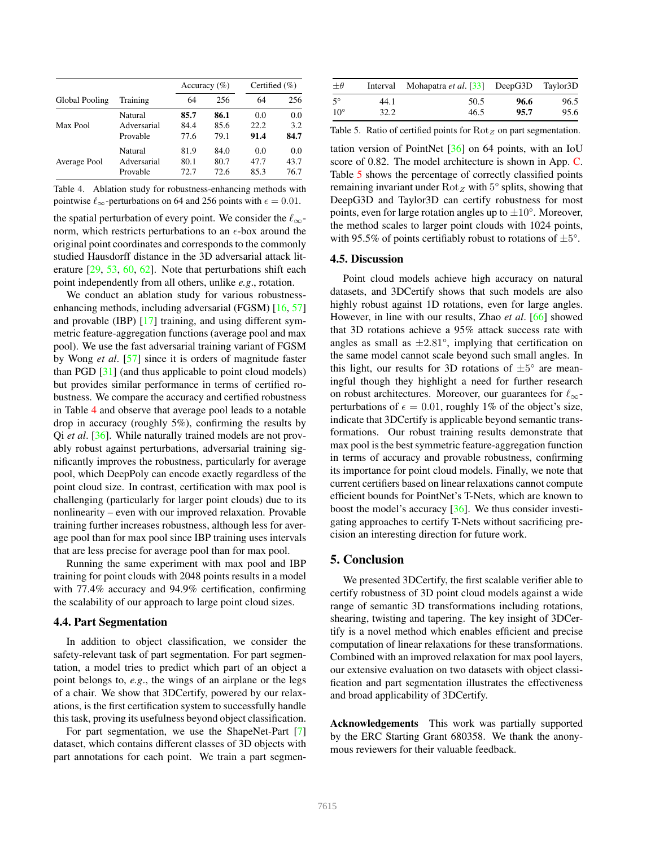|                |                |      | Accuracy $(\% )$ | Certified $(\% )$ |      |
|----------------|----------------|------|------------------|-------------------|------|
| Global Pooling | Training       | 64   | 256              | 64                | 256  |
| Max Pool       | <b>Natural</b> | 85.7 | 86.1             | 0.0               | 0.0  |
|                | Adversarial    | 84.4 | 85.6             | 22.2              | 3.2  |
|                | Provable       | 77.6 | 79.1             | 91.4              | 84.7 |
| Average Pool   | <b>Natural</b> | 81.9 | 84.0             | 0.0               | 0.0  |
|                | Adversarial    | 80.1 | 80.7             | 47.7              | 43.7 |
|                | Provable       | 72.7 | 72.6             | 85.3              | 76.7 |

Table 4. Ablation study for robustness-enhancing methods with pointwise  $\ell_{\infty}$ -perturbations on 64 and 256 points with  $\epsilon = 0.01$ .

the spatial perturbation of every point. We consider the  $\ell_{\infty}$ norm, which restricts perturbations to an  $\epsilon$ -box around the original point coordinates and corresponds to the commonly studied Hausdorff distance in the 3D adversarial attack literature [29, 53, 60, 62]. Note that perturbations shift each point independently from all others, unlike *e.g*., rotation.

We conduct an ablation study for various robustnessenhancing methods, including adversarial (FGSM) [16, 57] and provable (IBP) [17] training, and using different symmetric feature-aggregation functions (average pool and max pool). We use the fast adversarial training variant of FGSM by Wong *et al*. [57] since it is orders of magnitude faster than PGD [31] (and thus applicable to point cloud models) but provides similar performance in terms of certified robustness. We compare the accuracy and certified robustness in Table 4 and observe that average pool leads to a notable drop in accuracy (roughly 5%), confirming the results by Qi *et al*. [36]. While naturally trained models are not provably robust against perturbations, adversarial training significantly improves the robustness, particularly for average pool, which DeepPoly can encode exactly regardless of the point cloud size. In contrast, certification with max pool is challenging (particularly for larger point clouds) due to its nonlinearity – even with our improved relaxation. Provable training further increases robustness, although less for average pool than for max pool since IBP training uses intervals that are less precise for average pool than for max pool.

Running the same experiment with max pool and IBP training for point clouds with 2048 points results in a model with 77.4% accuracy and 94.9% certification, confirming the scalability of our approach to large point cloud sizes.

#### 4.4. Part Segmentation

In addition to object classification, we consider the safety-relevant task of part segmentation. For part segmentation, a model tries to predict which part of an object a point belongs to, *e.g*., the wings of an airplane or the legs of a chair. We show that 3DCertify, powered by our relaxations, is the first certification system to successfully handle this task, proving its usefulness beyond object classification.

For part segmentation, we use the ShapeNet-Part [7] dataset, which contains different classes of 3D objects with part annotations for each point. We train a part segmen-

| $\pm\theta$  |      | Interval Mohapatra et al. [33] DeepG3D Taylor3D |      |      |
|--------------|------|-------------------------------------------------|------|------|
| $5^{\circ}$  | 44.1 | 50.5                                            | 96.6 | 96.5 |
| $10^{\circ}$ | 32.2 | 46.5                                            | 95.7 | 95.6 |

Table 5. Ratio of certified points for Rot<sub>Z</sub> on part segmentation.

tation version of PointNet [36] on 64 points, with an IoU score of 0.82. The model architecture is shown in App. C. Table 5 shows the percentage of correctly classified points remaining invariant under  $Rot_Z$  with  $5^{\circ}$  splits, showing that DeepG3D and Taylor3D can certify robustness for most points, even for large rotation angles up to *±*10°. Moreover, the method scales to larger point clouds with 1024 points, with 95.5% of points certifiably robust to rotations of *±*5°.

#### 4.5. Discussion

Point cloud models achieve high accuracy on natural datasets, and 3DCertify shows that such models are also highly robust against 1D rotations, even for large angles. However, in line with our results, Zhao *et al*. [66] showed that 3D rotations achieve a 95% attack success rate with angles as small as  $\pm 2.81^{\circ}$ , implying that certification on the same model cannot scale beyond such small angles. In this light, our results for 3D rotations of  $\pm 5^{\circ}$  are meaningful though they highlight a need for further research on robust architectures. Moreover, our guarantees for  $\ell_{\infty}$ perturbations of  $\epsilon = 0.01$ , roughly 1% of the object's size, indicate that 3DCertify is applicable beyond semantic transformations. Our robust training results demonstrate that max pool is the best symmetric feature-aggregation function in terms of accuracy and provable robustness, confirming its importance for point cloud models. Finally, we note that current certifiers based on linear relaxations cannot compute efficient bounds for PointNet's T-Nets, which are known to boost the model's accuracy [36]. We thus consider investigating approaches to certify T-Nets without sacrificing precision an interesting direction for future work.

#### 5. Conclusion

We presented 3DCertify, the first scalable verifier able to certify robustness of 3D point cloud models against a wide range of semantic 3D transformations including rotations, shearing, twisting and tapering. The key insight of 3DCertify is a novel method which enables efficient and precise computation of linear relaxations for these transformations. Combined with an improved relaxation for max pool layers, our extensive evaluation on two datasets with object classification and part segmentation illustrates the effectiveness and broad applicability of 3DCertify.

Acknowledgements This work was partially supported by the ERC Starting Grant 680358. We thank the anonymous reviewers for their valuable feedback.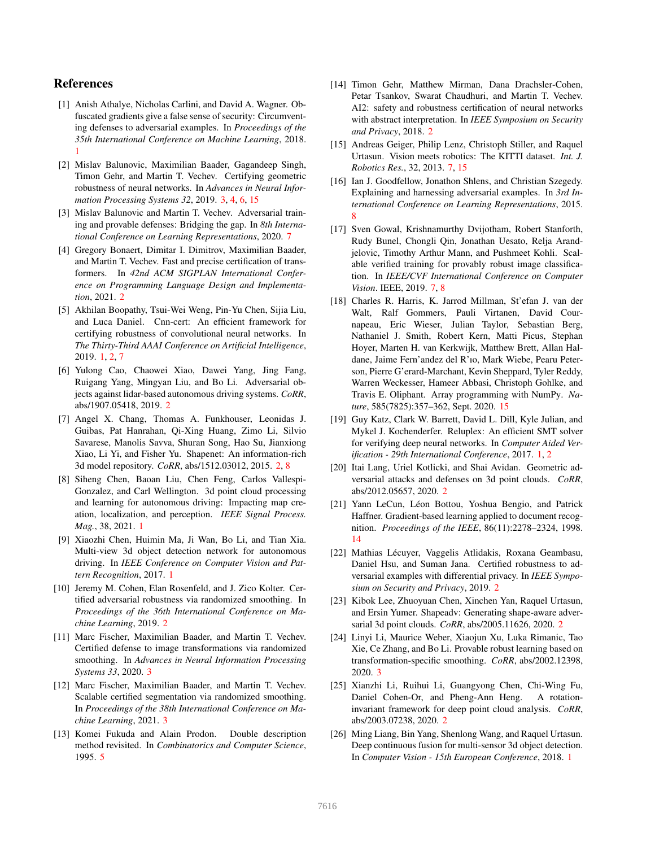# References

- [1] Anish Athalye, Nicholas Carlini, and David A. Wagner. Obfuscated gradients give a false sense of security: Circumventing defenses to adversarial examples. In *Proceedings of the 35th International Conference on Machine Learning*, 2018. 1
- [2] Mislav Balunovic, Maximilian Baader, Gagandeep Singh, Timon Gehr, and Martin T. Vechev. Certifying geometric robustness of neural networks. In *Advances in Neural Information Processing Systems 32*, 2019. 3, 4, 6, 15
- [3] Mislav Balunovic and Martin T. Vechev. Adversarial training and provable defenses: Bridging the gap. In *8th International Conference on Learning Representations*, 2020. 7
- [4] Gregory Bonaert, Dimitar I. Dimitrov, Maximilian Baader, and Martin T. Vechev. Fast and precise certification of transformers. In *42nd ACM SIGPLAN International Conference on Programming Language Design and Implementation*, 2021. 2
- [5] Akhilan Boopathy, Tsui-Wei Weng, Pin-Yu Chen, Sijia Liu, and Luca Daniel. Cnn-cert: An efficient framework for certifying robustness of convolutional neural networks. In *The Thirty-Third AAAI Conference on Artificial Intelligence*, 2019. 1, 2, 7
- [6] Yulong Cao, Chaowei Xiao, Dawei Yang, Jing Fang, Ruigang Yang, Mingyan Liu, and Bo Li. Adversarial objects against lidar-based autonomous driving systems. *CoRR*, abs/1907.05418, 2019. 2
- [7] Angel X. Chang, Thomas A. Funkhouser, Leonidas J. Guibas, Pat Hanrahan, Qi-Xing Huang, Zimo Li, Silvio Savarese, Manolis Savva, Shuran Song, Hao Su, Jianxiong Xiao, Li Yi, and Fisher Yu. Shapenet: An information-rich 3d model repository. *CoRR*, abs/1512.03012, 2015. 2, 8
- [8] Siheng Chen, Baoan Liu, Chen Feng, Carlos Vallespi-Gonzalez, and Carl Wellington. 3d point cloud processing and learning for autonomous driving: Impacting map creation, localization, and perception. *IEEE Signal Process. Mag.*, 38, 2021. 1
- [9] Xiaozhi Chen, Huimin Ma, Ji Wan, Bo Li, and Tian Xia. Multi-view 3d object detection network for autonomous driving. In *IEEE Conference on Computer Vision and Pattern Recognition*, 2017. 1
- [10] Jeremy M. Cohen, Elan Rosenfeld, and J. Zico Kolter. Certified adversarial robustness via randomized smoothing. In *Proceedings of the 36th International Conference on Machine Learning*, 2019. 2
- [11] Marc Fischer, Maximilian Baader, and Martin T. Vechev. Certified defense to image transformations via randomized smoothing. In *Advances in Neural Information Processing Systems 33*, 2020. 3
- [12] Marc Fischer, Maximilian Baader, and Martin T. Vechev. Scalable certified segmentation via randomized smoothing. In *Proceedings of the 38th International Conference on Machine Learning*, 2021. 3
- [13] Komei Fukuda and Alain Prodon. Double description method revisited. In *Combinatorics and Computer Science*, 1995. 5
- [14] Timon Gehr, Matthew Mirman, Dana Drachsler-Cohen, Petar Tsankov, Swarat Chaudhuri, and Martin T. Vechev. AI2: safety and robustness certification of neural networks with abstract interpretation. In *IEEE Symposium on Security and Privacy*, 2018. 2
- [15] Andreas Geiger, Philip Lenz, Christoph Stiller, and Raquel Urtasun. Vision meets robotics: The KITTI dataset. *Int. J. Robotics Res.*, 32, 2013. 7, 15
- [16] Ian J. Goodfellow, Jonathon Shlens, and Christian Szegedy. Explaining and harnessing adversarial examples. In *3rd International Conference on Learning Representations*, 2015. 8
- [17] Sven Gowal, Krishnamurthy Dvijotham, Robert Stanforth, Rudy Bunel, Chongli Qin, Jonathan Uesato, Relja Arandjelovic, Timothy Arthur Mann, and Pushmeet Kohli. Scalable verified training for provably robust image classification. In *IEEE/CVF International Conference on Computer Vision*. IEEE, 2019. 7, 8
- [18] Charles R. Harris, K. Jarrod Millman, St'efan J. van der Walt, Ralf Gommers, Pauli Virtanen, David Cournapeau, Eric Wieser, Julian Taylor, Sebastian Berg, Nathaniel J. Smith, Robert Kern, Matti Picus, Stephan Hoyer, Marten H. van Kerkwijk, Matthew Brett, Allan Haldane, Jaime Fern'andez del R'ıo, Mark Wiebe, Pearu Peterson, Pierre G'erard-Marchant, Kevin Sheppard, Tyler Reddy, Warren Weckesser, Hameer Abbasi, Christoph Gohlke, and Travis E. Oliphant. Array programming with NumPy. *Nature*, 585(7825):357–362, Sept. 2020. 15
- [19] Guy Katz, Clark W. Barrett, David L. Dill, Kyle Julian, and Mykel J. Kochenderfer. Reluplex: An efficient SMT solver for verifying deep neural networks. In *Computer Aided Verification - 29th International Conference*, 2017. 1, 2
- [20] Itai Lang, Uriel Kotlicki, and Shai Avidan. Geometric adversarial attacks and defenses on 3d point clouds. *CoRR*, abs/2012.05657, 2020. 2
- [21] Yann LeCun, Léon Bottou, Yoshua Bengio, and Patrick Haffner. Gradient-based learning applied to document recognition. *Proceedings of the IEEE*, 86(11):2278–2324, 1998. 14
- [22] Mathias Lécuyer, Vaggelis Atlidakis, Roxana Geambasu, Daniel Hsu, and Suman Jana. Certified robustness to adversarial examples with differential privacy. In *IEEE Symposium on Security and Privacy*, 2019. 2
- [23] Kibok Lee, Zhuoyuan Chen, Xinchen Yan, Raquel Urtasun, and Ersin Yumer. Shapeadv: Generating shape-aware adversarial 3d point clouds. *CoRR*, abs/2005.11626, 2020. 2
- [24] Linyi Li, Maurice Weber, Xiaojun Xu, Luka Rimanic, Tao Xie, Ce Zhang, and Bo Li. Provable robust learning based on transformation-specific smoothing. *CoRR*, abs/2002.12398, 2020. 3
- [25] Xianzhi Li, Ruihui Li, Guangyong Chen, Chi-Wing Fu, Daniel Cohen-Or, and Pheng-Ann Heng. A rotationinvariant framework for deep point cloud analysis. *CoRR*, abs/2003.07238, 2020. 2
- [26] Ming Liang, Bin Yang, Shenlong Wang, and Raquel Urtasun. Deep continuous fusion for multi-sensor 3d object detection. In *Computer Vision - 15th European Conference*, 2018. 1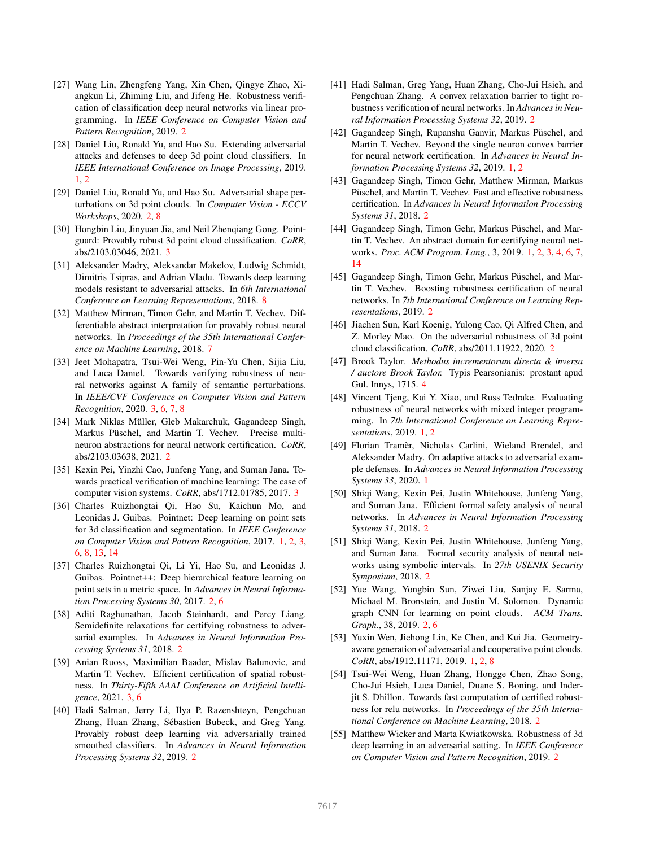- [27] Wang Lin, Zhengfeng Yang, Xin Chen, Qingye Zhao, Xiangkun Li, Zhiming Liu, and Jifeng He. Robustness verification of classification deep neural networks via linear programming. In *IEEE Conference on Computer Vision and Pattern Recognition*, 2019. 2
- [28] Daniel Liu, Ronald Yu, and Hao Su. Extending adversarial attacks and defenses to deep 3d point cloud classifiers. In *IEEE International Conference on Image Processing*, 2019. 1, 2
- [29] Daniel Liu, Ronald Yu, and Hao Su. Adversarial shape perturbations on 3d point clouds. In *Computer Vision - ECCV Workshops*, 2020. 2, 8
- [30] Hongbin Liu, Jinyuan Jia, and Neil Zhengiang Gong. Pointguard: Provably robust 3d point cloud classification. *CoRR*, abs/2103.03046, 2021. 3
- [31] Aleksander Madry, Aleksandar Makelov, Ludwig Schmidt, Dimitris Tsipras, and Adrian Vladu. Towards deep learning models resistant to adversarial attacks. In *6th International Conference on Learning Representations*, 2018. 8
- [32] Matthew Mirman, Timon Gehr, and Martin T. Vechev. Differentiable abstract interpretation for provably robust neural networks. In *Proceedings of the 35th International Conference on Machine Learning*, 2018. 7
- [33] Jeet Mohapatra, Tsui-Wei Weng, Pin-Yu Chen, Sijia Liu, and Luca Daniel. Towards verifying robustness of neural networks against A family of semantic perturbations. In *IEEE/CVF Conference on Computer Vision and Pattern Recognition*, 2020. 3, 6, 7, 8
- [34] Mark Niklas Müller, Gleb Makarchuk, Gagandeep Singh, Markus Püschel, and Martin T. Vechev. Precise multineuron abstractions for neural network certification. *CoRR*, abs/2103.03638, 2021. 2
- [35] Kexin Pei, Yinzhi Cao, Junfeng Yang, and Suman Jana. Towards practical verification of machine learning: The case of computer vision systems. *CoRR*, abs/1712.01785, 2017. 3
- [36] Charles Ruizhongtai Qi, Hao Su, Kaichun Mo, and Leonidas J. Guibas. Pointnet: Deep learning on point sets for 3d classification and segmentation. In *IEEE Conference on Computer Vision and Pattern Recognition*, 2017. 1, 2, 3, 6, 8, 13, 14
- [37] Charles Ruizhongtai Qi, Li Yi, Hao Su, and Leonidas J. Guibas. Pointnet++: Deep hierarchical feature learning on point sets in a metric space. In *Advances in Neural Information Processing Systems 30*, 2017. 2, 6
- [38] Aditi Raghunathan, Jacob Steinhardt, and Percy Liang. Semidefinite relaxations for certifying robustness to adversarial examples. In *Advances in Neural Information Processing Systems 31*, 2018. 2
- [39] Anian Ruoss, Maximilian Baader, Mislav Balunovic, and Martin T. Vechev. Efficient certification of spatial robustness. In *Thirty-Fifth AAAI Conference on Artificial Intelligence*, 2021. 3, 6
- [40] Hadi Salman, Jerry Li, Ilya P. Razenshteyn, Pengchuan Zhang, Huan Zhang, Sébastien Bubeck, and Greg Yang. Provably robust deep learning via adversarially trained smoothed classifiers. In *Advances in Neural Information Processing Systems 32*, 2019. 2
- [41] Hadi Salman, Greg Yang, Huan Zhang, Cho-Jui Hsieh, and Pengchuan Zhang. A convex relaxation barrier to tight robustness verification of neural networks. In *Advances in Neural Information Processing Systems 32*, 2019. 2
- [42] Gagandeep Singh, Rupanshu Ganvir, Markus Püschel, and Martin T. Vechev. Beyond the single neuron convex barrier for neural network certification. In *Advances in Neural Information Processing Systems 32*, 2019. 1, 2
- [43] Gagandeep Singh, Timon Gehr, Matthew Mirman, Markus Püschel, and Martin T. Vechev. Fast and effective robustness certification. In *Advances in Neural Information Processing Systems 31*, 2018. 2
- [44] Gagandeep Singh, Timon Gehr, Markus Püschel, and Martin T. Vechev. An abstract domain for certifying neural networks. *Proc. ACM Program. Lang.*, 3, 2019. 1, 2, 3, 4, 6, 7, 14
- [45] Gagandeep Singh, Timon Gehr, Markus Püschel, and Martin T. Vechev. Boosting robustness certification of neural networks. In *7th International Conference on Learning Representations*, 2019. 2
- [46] Jiachen Sun, Karl Koenig, Yulong Cao, Qi Alfred Chen, and Z. Morley Mao. On the adversarial robustness of 3d point cloud classification. *CoRR*, abs/2011.11922, 2020. 2
- [47] Brook Taylor. *Methodus incrementorum directa & inversa / auctore Brook Taylor.* Typis Pearsonianis: prostant apud Gul. Innys, 1715. 4
- [48] Vincent Tjeng, Kai Y. Xiao, and Russ Tedrake. Evaluating robustness of neural networks with mixed integer programming. In *7th International Conference on Learning Representations*, 2019. 1, 2
- [49] Florian Tramèr, Nicholas Carlini, Wieland Brendel, and Aleksander Madry. On adaptive attacks to adversarial example defenses. In *Advances in Neural Information Processing Systems 33*, 2020. 1
- [50] Shiqi Wang, Kexin Pei, Justin Whitehouse, Junfeng Yang, and Suman Jana. Efficient formal safety analysis of neural networks. In *Advances in Neural Information Processing Systems 31*, 2018. 2
- [51] Shiqi Wang, Kexin Pei, Justin Whitehouse, Junfeng Yang, and Suman Jana. Formal security analysis of neural networks using symbolic intervals. In *27th USENIX Security Symposium*, 2018. 2
- [52] Yue Wang, Yongbin Sun, Ziwei Liu, Sanjay E. Sarma, Michael M. Bronstein, and Justin M. Solomon. Dynamic graph CNN for learning on point clouds. *ACM Trans. Graph.*, 38, 2019. 2, 6
- [53] Yuxin Wen, Jiehong Lin, Ke Chen, and Kui Jia. Geometryaware generation of adversarial and cooperative point clouds. *CoRR*, abs/1912.11171, 2019. 1, 2, 8
- [54] Tsui-Wei Weng, Huan Zhang, Hongge Chen, Zhao Song, Cho-Jui Hsieh, Luca Daniel, Duane S. Boning, and Inderjit S. Dhillon. Towards fast computation of certified robustness for relu networks. In *Proceedings of the 35th International Conference on Machine Learning*, 2018. 2
- [55] Matthew Wicker and Marta Kwiatkowska. Robustness of 3d deep learning in an adversarial setting. In *IEEE Conference on Computer Vision and Pattern Recognition*, 2019. 2